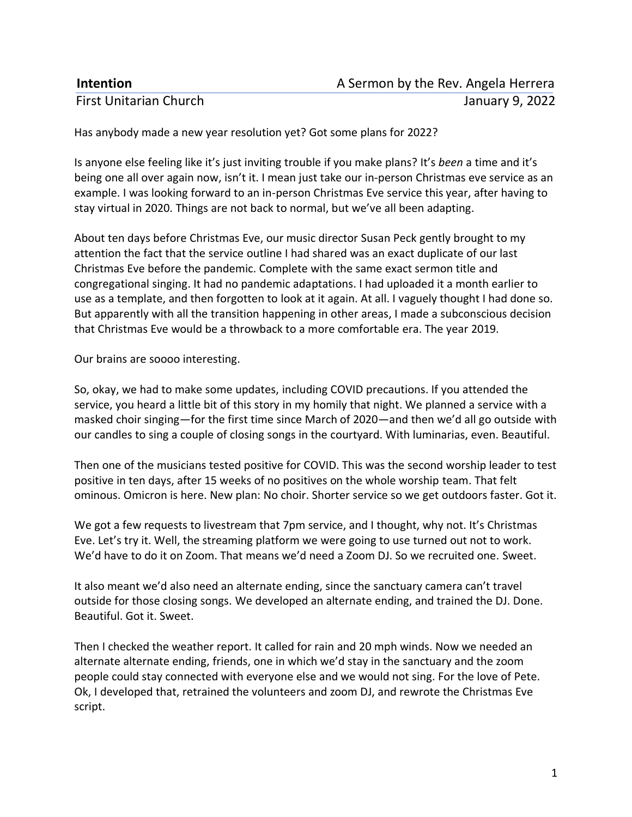| <b>Intention</b>              | A Sermon by the Rev. Angela Herrera |
|-------------------------------|-------------------------------------|
| <b>First Unitarian Church</b> | January 9, 2022                     |

Has anybody made a new year resolution yet? Got some plans for 2022?

Is anyone else feeling like it's just inviting trouble if you make plans? It's *been* a time and it's being one all over again now, isn't it. I mean just take our in-person Christmas eve service as an example. I was looking forward to an in-person Christmas Eve service this year, after having to stay virtual in 2020. Things are not back to normal, but we've all been adapting.

About ten days before Christmas Eve, our music director Susan Peck gently brought to my attention the fact that the service outline I had shared was an exact duplicate of our last Christmas Eve before the pandemic. Complete with the same exact sermon title and congregational singing. It had no pandemic adaptations. I had uploaded it a month earlier to use as a template, and then forgotten to look at it again. At all. I vaguely thought I had done so. But apparently with all the transition happening in other areas, I made a subconscious decision that Christmas Eve would be a throwback to a more comfortable era. The year 2019.

Our brains are soooo interesting.

So, okay, we had to make some updates, including COVID precautions. If you attended the service, you heard a little bit of this story in my homily that night. We planned a service with a masked choir singing—for the first time since March of 2020—and then we'd all go outside with our candles to sing a couple of closing songs in the courtyard. With luminarias, even. Beautiful.

Then one of the musicians tested positive for COVID. This was the second worship leader to test positive in ten days, after 15 weeks of no positives on the whole worship team. That felt ominous. Omicron is here. New plan: No choir. Shorter service so we get outdoors faster. Got it.

We got a few requests to livestream that 7pm service, and I thought, why not. It's Christmas Eve. Let's try it. Well, the streaming platform we were going to use turned out not to work. We'd have to do it on Zoom. That means we'd need a Zoom DJ. So we recruited one. Sweet.

It also meant we'd also need an alternate ending, since the sanctuary camera can't travel outside for those closing songs. We developed an alternate ending, and trained the DJ. Done. Beautiful. Got it. Sweet.

Then I checked the weather report. It called for rain and 20 mph winds. Now we needed an alternate alternate ending, friends, one in which we'd stay in the sanctuary and the zoom people could stay connected with everyone else and we would not sing. For the love of Pete. Ok, I developed that, retrained the volunteers and zoom DJ, and rewrote the Christmas Eve script.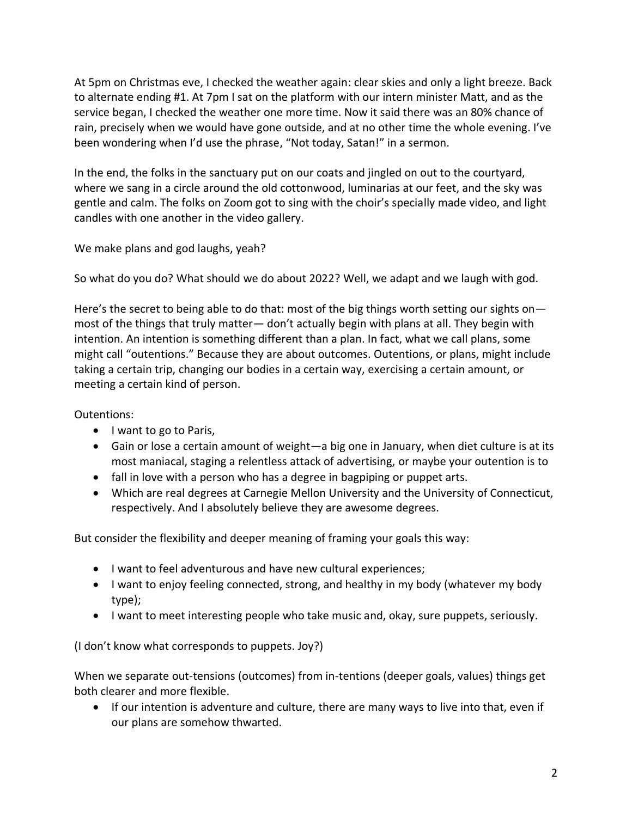At 5pm on Christmas eve, I checked the weather again: clear skies and only a light breeze. Back to alternate ending #1. At 7pm I sat on the platform with our intern minister Matt, and as the service began, I checked the weather one more time. Now it said there was an 80% chance of rain, precisely when we would have gone outside, and at no other time the whole evening. I've been wondering when I'd use the phrase, "Not today, Satan!" in a sermon.

In the end, the folks in the sanctuary put on our coats and jingled on out to the courtyard, where we sang in a circle around the old cottonwood, luminarias at our feet, and the sky was gentle and calm. The folks on Zoom got to sing with the choir's specially made video, and light candles with one another in the video gallery.

We make plans and god laughs, yeah?

So what do you do? What should we do about 2022? Well, we adapt and we laugh with god.

Here's the secret to being able to do that: most of the big things worth setting our sights onmost of the things that truly matter— don't actually begin with plans at all. They begin with intention. An intention is something different than a plan. In fact, what we call plans, some might call "outentions." Because they are about outcomes. Outentions, or plans, might include taking a certain trip, changing our bodies in a certain way, exercising a certain amount, or meeting a certain kind of person.

Outentions:

- I want to go to Paris,
- Gain or lose a certain amount of weight—a big one in January, when diet culture is at its most maniacal, staging a relentless attack of advertising, or maybe your outention is to
- fall in love with a person who has a degree in bagpiping or puppet arts.
- Which are real degrees at Carnegie Mellon University and the University of Connecticut, respectively. And I absolutely believe they are awesome degrees.

But consider the flexibility and deeper meaning of framing your goals this way:

- I want to feel adventurous and have new cultural experiences;
- I want to enjoy feeling connected, strong, and healthy in my body (whatever my body type);
- I want to meet interesting people who take music and, okay, sure puppets, seriously.

(I don't know what corresponds to puppets. Joy?)

When we separate out-tensions (outcomes) from in-tentions (deeper goals, values) things get both clearer and more flexible.

• If our intention is adventure and culture, there are many ways to live into that, even if our plans are somehow thwarted.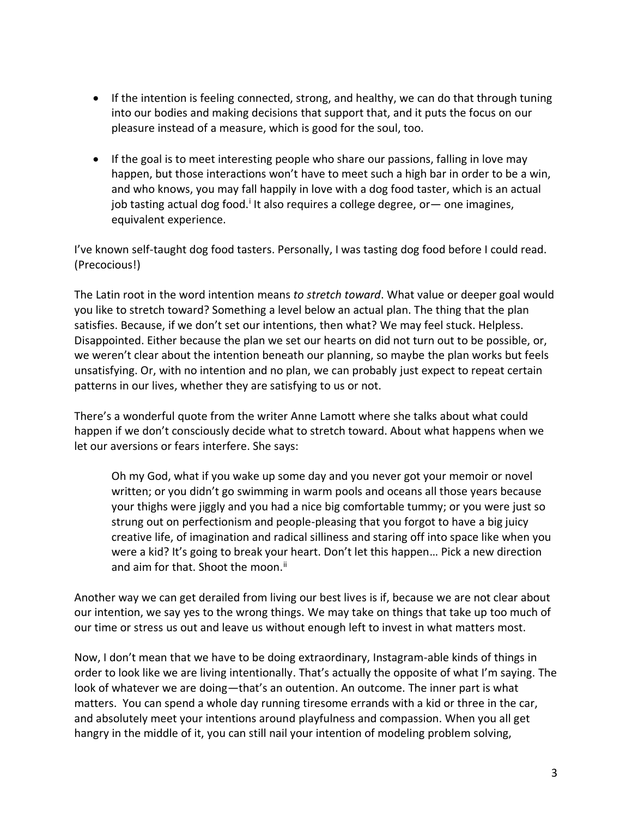- If the intention is feeling connected, strong, and healthy, we can do that through tuning into our bodies and making decisions that support that, and it puts the focus on our pleasure instead of a measure, which is good for the soul, too.
- If the goal is to meet interesting people who share our passions, falling in love may happen, but those interactions won't have to meet such a high bar in order to be a win, and who knows, you may fall happily in love with a dog food taster, which is an actual job tasting actual dog food.<sup>i</sup> It also requires a college degree, or— one imagines, equivalent experience.

I've known self-taught dog food tasters. Personally, I was tasting dog food before I could read. (Precocious!)

The Latin root in the word intention means *to stretch toward*. What value or deeper goal would you like to stretch toward? Something a level below an actual plan. The thing that the plan satisfies. Because, if we don't set our intentions, then what? We may feel stuck. Helpless. Disappointed. Either because the plan we set our hearts on did not turn out to be possible, or, we weren't clear about the intention beneath our planning, so maybe the plan works but feels unsatisfying. Or, with no intention and no plan, we can probably just expect to repeat certain patterns in our lives, whether they are satisfying to us or not.

There's a wonderful quote from the writer Anne Lamott where she talks about what could happen if we don't consciously decide what to stretch toward. About what happens when we let our aversions or fears interfere. She says:

Oh my God, what if you wake up some day and you never got your memoir or novel written; or you didn't go swimming in warm pools and oceans all those years because your thighs were jiggly and you had a nice big comfortable tummy; or you were just so strung out on perfectionism and people-pleasing that you forgot to have a big juicy creative life, of imagination and radical silliness and staring off into space like when you were a kid? It's going to break your heart. Don't let this happen… Pick a new direction and aim for that. Shoot the moon.<sup>ii</sup>

Another way we can get derailed from living our best lives is if, because we are not clear about our intention, we say yes to the wrong things. We may take on things that take up too much of our time or stress us out and leave us without enough left to invest in what matters most.

Now, I don't mean that we have to be doing extraordinary, Instagram-able kinds of things in order to look like we are living intentionally. That's actually the opposite of what I'm saying. The look of whatever we are doing—that's an outention. An outcome. The inner part is what matters. You can spend a whole day running tiresome errands with a kid or three in the car, and absolutely meet your intentions around playfulness and compassion. When you all get hangry in the middle of it, you can still nail your intention of modeling problem solving,